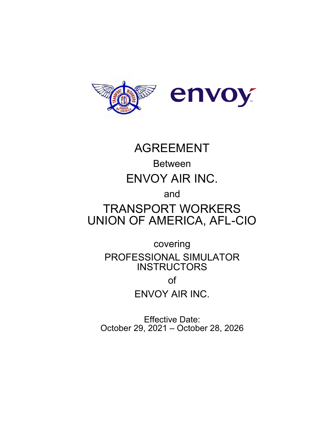

# AGREEMENT Between ENVOY AIR INC. and TRANSPORT WORKERS UNION OF AMERICA, AFL-CIO

## covering PROFESSIONAL SIMULATOR **INSTRUCTORS** of ENVOY AIR INC.

Effective Date: October 29, 2021 – October 28, 2026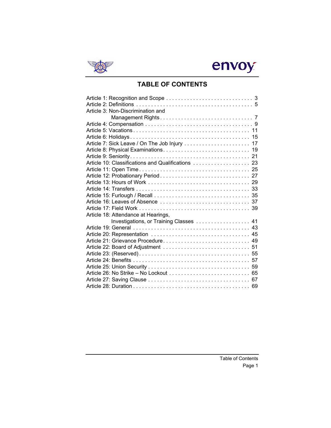



## **TABLE OF CONTENTS**

| Article 3: Non-Discrimination and                  |  |
|----------------------------------------------------|--|
|                                                    |  |
|                                                    |  |
|                                                    |  |
|                                                    |  |
|                                                    |  |
|                                                    |  |
|                                                    |  |
| Article 10: Classifications and Qualifications  23 |  |
|                                                    |  |
|                                                    |  |
|                                                    |  |
|                                                    |  |
|                                                    |  |
|                                                    |  |
|                                                    |  |
| Article 18: Attendance at Hearings,                |  |
| Investigations, or Training Classes 41             |  |
|                                                    |  |
|                                                    |  |
|                                                    |  |
|                                                    |  |
|                                                    |  |
|                                                    |  |
|                                                    |  |
|                                                    |  |
|                                                    |  |
|                                                    |  |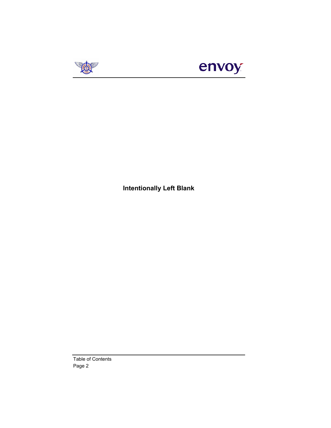

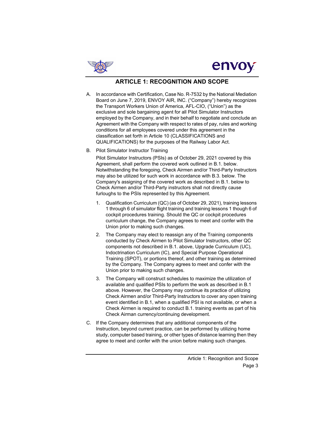

## **ARTICLE 1: RECOGNITION AND SCOPE**

- <span id="page-4-0"></span>A. In accordance with Certification, Case No. R-7532 by the National Mediation Board on June 7, 2019, ENVOY AIR, INC. ("Company") hereby recognizes the Transport Workers Union of America, AFL-CIO, ("Union") as the exclusive and sole bargaining agent for all Pilot Simulator Instructors employed by the Company, and in their behalf to negotiate and conclude an Agreement with the Company with respect to rates of pay, rules and working conditions for all employees covered under this agreement in the classification set forth in Article 10 (CLASSIFICATIONS and QUALIFICATIONS) for the purposes of the Railway Labor Act.
- B. Pilot Simulator Instructor Training

Pilot Simulator Instructors (PSIs) as of October 29, 2021 covered by this Agreement, shall perform the covered work outlined in B.1. below. Notwithstanding the foregoing, Check Airmen and/or Third-Party Instructors may also be utilized for such work in accordance with B.3. below. The Company's assigning of the covered work as described in B.1. below to Check Airmen and/or Third-Party instructors shall not directly cause furloughs to the PSIs represented by this Agreement.

- 1. Qualification Curriculum (QC) (as of October 29, 2021), training lessons 1 through 6 of simulator flight training and training lessons 1 though 6 of cockpit procedures training. Should the QC or cockpit procedures curriculum change, the Company agrees to meet and confer with the Union prior to making such changes.
- 2. The Company may elect to reassign any of the Training components conducted by Check Airmen to Pilot Simulator Instructors, other QC components not described in B.1. above, Upgrade Curriculum (UC), Indoctrination Curriculum (IC), and Special Purpose Operational Training (SPOT), or portions thereof, and other training as determined by the Company. The Company agrees to meet and confer with the Union prior to making such changes.
- 3. The Company will construct schedules to maximize the utilization of available and qualified PSIs to perform the work as described in B.1 above. However, the Company may continue its practice of utilizing Check Airmen and/or Third-Party Instructors to cover any open training event identified in B.1, when a qualified PSI is not available, or when a Check Airmen is required to conduct B.1. training events as part of his Check Airman currency/continuing development.
- C. If the Company determines that any additional components of the Instruction, beyond current practice, can be performed by utilizing home study, computer based training, or other types of distance learning then they agree to meet and confer with the union before making such changes.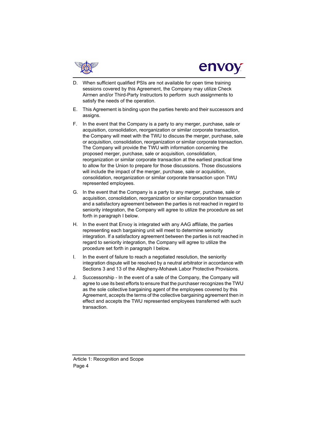



- D. When sufficient qualified PSIs are not available for open time training sessions covered by this Agreement, the Company may utilize Check Airmen and/or Third-Party Instructors to perform such assignments to satisfy the needs of the operation.
- E. This Agreement is binding upon the parties hereto and their successors and assigns.
- F. In the event that the Company is a party to any merger, purchase, sale or acquisition, consolidation, reorganization or similar corporate transaction, the Company will meet with the TWU to discuss the merger, purchase, sale or acquisition, consolidation, reorganization or similar corporate transaction. The Company will provide the TWU with information concerning the proposed merger, purchase, sale or acquisition, consolidation, reorganization or similar corporate transaction at the earliest practical time to allow for the Union to prepare for those discussions. Those discussions will include the impact of the merger, purchase, sale or acquisition, consolidation, reorganization or similar corporate transaction upon TWU represented employees.
- G. In the event that the Company is a party to any merger, purchase, sale or acquisition, consolidation, reorganization or similar corporation transaction and a satisfactory agreement between the parties is not reached in regard to seniority integration, the Company will agree to utilize the procedure as set forth in paragraph I below.
- H. In the event that Envoy is integrated with any AAG affiliate, the parties representing each bargaining unit will meet to determine seniority integration. If a satisfactory agreement between the parties is not reached in regard to seniority integration, the Company will agree to utilize the procedure set forth in paragraph I below.
- I. In the event of failure to reach a negotiated resolution, the seniority integration dispute will be resolved by a neutral arbitrator in accordance with Sections 3 and 13 of the Allegheny-Mohawk Labor Protective Provisions.
- J. Successorship In the event of a sale of the Company, the Company will agree to use its best efforts to ensure that the purchaser recognizes the TWU as the sole collective bargaining agent of the employees covered by this Agreement, accepts the terms of the collective bargaining agreement then in effect and accepts the TWU represented employees transferred with such transaction.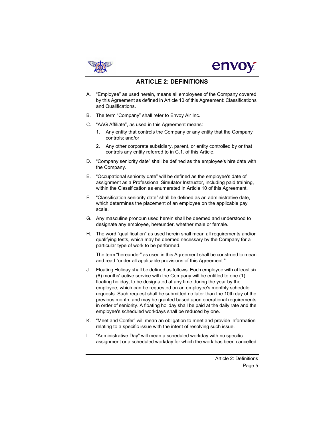



#### **ARTICLE 2: DEFINITIONS**

- <span id="page-6-0"></span>A. "Employee" as used herein, means all employees of the Company covered by this Agreement as defined in Article 10 of this Agreement: Classifications and Qualifications.
- B. The term "Company" shall refer to Envoy Air Inc.
- C. "AAG Affiliate", as used in this Agreement means:
	- 1. Any entity that controls the Company or any entity that the Company controls; and/or
	- 2. Any other corporate subsidiary, parent, or entity controlled by or that controls any entity referred to in C.1. of this Article.
- D. "Company seniority date" shall be defined as the employee's hire date with the Company.
- E. "Occupational seniority date" will be defined as the employee's date of assignment as a Professional Simulator Instructor, including paid training, within the Classification as enumerated in Article 10 of this Agreement.
- F. "Classification seniority date" shall be defined as an administrative date, which determines the placement of an employee on the applicable pay scale.
- G. Any masculine pronoun used herein shall be deemed and understood to designate any employee, hereunder, whether male or female.
- H. The word "qualification" as used herein shall mean all requirements and/or qualifying tests, which may be deemed necessary by the Company for a particular type of work to be performed.
- I. The term "hereunder" as used in this Agreement shall be construed to mean and read "under all applicable provisions of this Agreement."
- J. Floating Holiday shall be defined as follows: Each employee with at least six (6) months' active service with the Company will be entitled to one (1) floating holiday, to be designated at any time during the year by the employee, which can be requested on an employee's monthly schedule requests. Such request shall be submitted no later than the 10th day of the previous month, and may be granted based upon operational requirements in order of seniority. A floating holiday shall be paid at the daily rate and the employee's scheduled workdays shall be reduced by one.
- K. "Meet and Confer" will mean an obligation to meet and provide information relating to a specific issue with the intent of resolving such issue.
- L. "Administrative Day" will mean a scheduled workday with no specific assignment or a scheduled workday for which the work has been cancelled.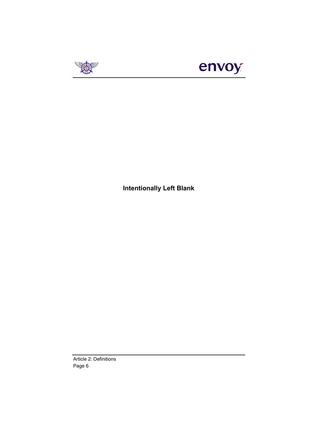

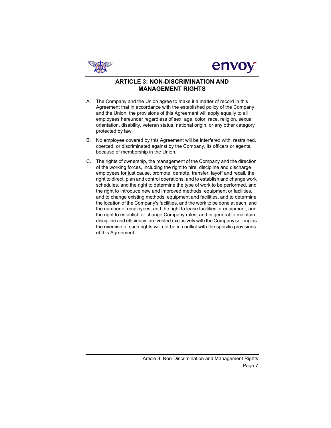<span id="page-8-0"></span>



#### **ARTICLE 3: NON-DISCRIMINATION AND MANAGEMENT RIGHTS**

- A. The Company and the Union agree to make it a matter of record in this Agreement that in accordance with the established policy of the Company and the Union, the provisions of this Agreement will apply equally to all employees hereunder regardless of sex, age, color, race, religion, sexual orientation, disability, veteran status, national origin, or any other category protected by law.
- B. No employee covered by this Agreement will be interfered with, restrained, coerced, or discriminated against by the Company, its officers or agents, because of membership in the Union.
- C. The rights of ownership, the management of the Company and the direction of the working forces, including the right to hire, discipline and discharge employees for just cause, promote, demote, transfer, layoff and recall, the right to direct, plan and control operations, and to establish and change work schedules, and the right to determine the type of work to be performed, and the right to introduce new and improved methods, equipment or facilities, and to change existing methods, equipment and facilities, and to determine the location of the Company's facilities, and the work to be done at each, and the number of employees, and the right to lease facilities or equipment, and the right to establish or change Company rules, and in general to maintain discipline and efficiency, are vested exclusively with the Company so long as the exercise of such rights will not be in conflict with the specific provisions of this Agreement.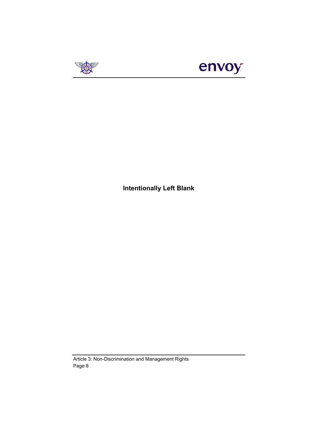

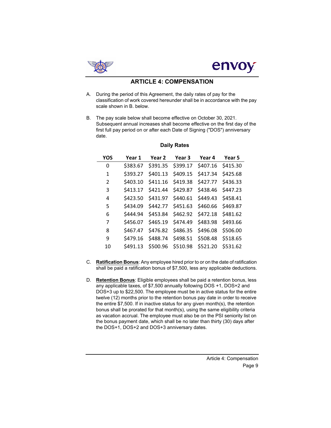



#### **ARTICLE 4: COMPENSATION**

- <span id="page-10-0"></span>A. During the period of this Agreement, the daily rates of pay for the classification of work covered hereunder shall be in accordance with the pay scale shown in B. below.
- B. The pay scale below shall become effective on October 30, 2021. Subsequent annual increases shall become effective on the first day of the first full pay period on or after each Date of Signing ("DOS") anniversary date.

| YOS          | Year 1   | Year 2   | Year 3   | Year 4            | Year 5   |
|--------------|----------|----------|----------|-------------------|----------|
| 0            | \$383.67 | \$391.35 |          | \$399.17 \$407.16 | \$415.30 |
| $\mathbf{1}$ | \$393.27 | \$401.13 | \$409.15 | \$417.34          | \$425.68 |
| 2            | \$403.10 | \$411.16 |          | \$419.38 \$427.77 | \$436.33 |
| 3            | \$413.17 | \$421.44 | \$429.87 | \$438.46          | \$447.23 |
| 4            | \$423.50 | \$431.97 | \$440.61 | \$449.43          | \$458.41 |
| 5            | \$434.09 | \$442.77 | \$451.63 | \$460.66          | \$469.87 |
| 6            | \$444.94 | \$453.84 | \$462.92 | \$472.18          | \$481.62 |
| 7            | \$456.07 | \$465.19 | \$474.49 | \$483.98          | \$493.66 |
| 8            | \$467.47 | \$476.82 | \$486.35 | \$496.08          | \$506.00 |
| 9            | \$479.16 | \$488.74 | \$498.51 | \$508.48          | \$518.65 |
| 10           | \$491.13 | \$500.96 | \$510.98 | \$521.20          | \$531.62 |

#### **Daily Rates**

- C. **Ratification Bonus**: Any employee hired prior to or on the date of ratification shall be paid a ratification bonus of \$7,500, less any applicable deductions.
- D. **Retention Bonus**: Eligible employees shall be paid a retention bonus, less any applicable taxes, of \$7,500 annually following DOS +1, DOS+2 and DOS+3 up to \$22,500. The employee must be in active status for the entire twelve (12) months prior to the retention bonus pay date in order to receive the entire \$7,500. If in inactive status for any given month(s), the retention bonus shall be prorated for that month(s), using the same eligibility criteria as vacation accrual. The employee must also be on the PSI seniority list on the bonus payment date, which shall be no later than thirty (30) days after the DOS+1, DOS+2 and DOS+3 anniversary dates.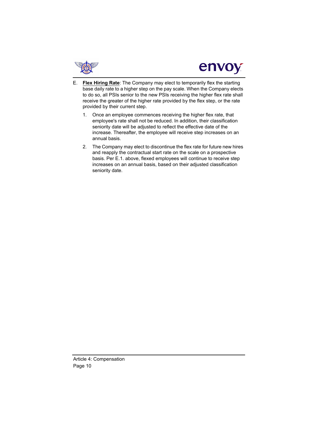



- E. **Flex Hiring Rate**: The Company may elect to temporarily flex the starting base daily rate to a higher step on the pay scale. When the Company elects to do so, all PSIs senior to the new PSIs receiving the higher flex rate shall receive the greater of the higher rate provided by the flex step, or the rate provided by their current step.
	- 1. Once an employee commences receiving the higher flex rate, that employee's rate shall not be reduced. In addition, their classification seniority date will be adjusted to reflect the effective date of the increase. Thereafter, the employee will receive step increases on an annual basis.
	- 2. The Company may elect to discontinue the flex rate for future new hires and reapply the contractual start rate on the scale on a prospective basis. Per E.1. above, flexed employees will continue to receive step increases on an annual basis, based on their adjusted classification seniority date.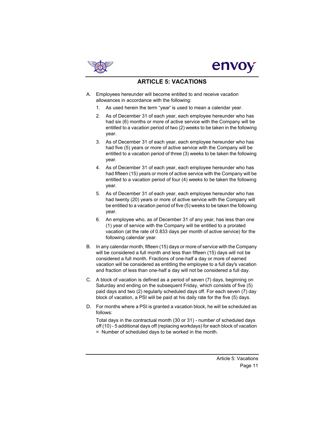



#### **ARTICLE 5: VACATIONS**

- <span id="page-12-0"></span>A. Employees hereunder will become entitled to and receive vacation allowances in accordance with the following:
	- 1. As used herein the term "year' is used to mean a calendar year.
	- 2. As of December 31 of each year, each employee hereunder who has had six (6) months or more of active service with the Company will be entitled to a vacation period of two (2) weeks to be taken in the following year.
	- 3. As of December 31 of each year, each employee hereunder who has had five (5) years or more of active service with the Company will be entitled to a vacation period of three (3) weeks to be taken the following year.
	- 4. As of December 31 of each year, each employee hereunder who has had fifteen (15) years or more of active service with the Company will be entitled to a vacation period of four (4) weeks to be taken the following year.
	- 5. As of December 31 of each year, each employee hereunder who has had twenty (20) years or more of active service with the Company will be entitled to a vacation period of five (5) weeks to be taken the following year.
	- 6. An employee who, as of December 31 of any year, has less than one (1) year of service with the Company will be entitled to a prorated vacation (at the rate of 0.833 days per month of active service) for the following calendar year.
- B. In any calendar month, fifteen (15) days or more of service with the Company will be considered a full month and less than fifteen (15) days will not be considered a full month. Fractions of one-half a day or more of earned vacation will be considered as entitling the employee to a full day's vacation and fraction of less than one-half a day will not be considered a full day.
- C. A block of vacation is defined as a period of seven (7) days, beginning on Saturday and ending on the subsequent Friday, which consists of five (5) paid days and two (2) regularly scheduled days off. For each seven (7) day block of vacation, a PSI will be paid at his daily rate for the five (5) days.
- D. For months where a PSI is granted a vacation block, he will be scheduled as follows:

Total days in the contractual month (30 or 31) - number of scheduled days off (10) - 5 additional days off (replacing workdays) for each block of vacation = Number of scheduled days to be worked in the month.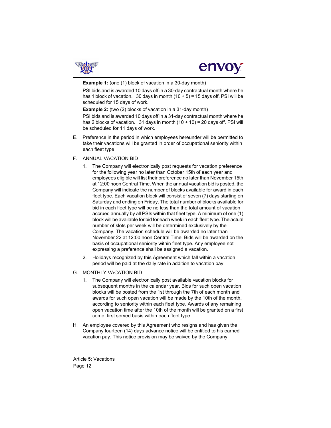

#### **Example 1:** (one (1) block of vacation in a 30-day month)

PSI bids and is awarded 10 days off in a 30-day contractual month where he has 1 block of vacation. 30 days in month  $(10 + 5) = 15$  days off. PSI will be scheduled for 15 days of work.

**Example 2:** (two (2) blocks of vacation in a 31-day month)

PSI bids and is awarded 10 days off in a 31-day contractual month where he has 2 blocks of vacation. 31 days in month  $(10 + 10) = 20$  days off. PSI will be scheduled for 11 days of work.

- E. Preference in the period in which employees hereunder will be permitted to take their vacations will be granted in order of occupational seniority within each fleet type.
- F. ANNUAL VACATION BID
	- 1. The Company will electronically post requests for vacation preference for the following year no later than October 15th of each year and employees eligible will list their preference no later than November 15th at 12:00 noon Central Time. When the annual vacation bid is posted, the Company will indicate the number of blocks available for award in each fleet type. Each vacation block will consist of seven (7) days starting on Saturday and ending on Friday. The total number of blocks available for bid in each fleet type will be no less than the total amount of vacation accrued annually by all PSIs within that fleet type. A minimum of one (1) block will be available for bid for each week in each fleet type. The actual number of slots per week will be determined exclusively by the Company. The vacation schedule will be awarded no later than November 22 at 12:00 noon Central Time. Bids will be awarded on the basis of occupational seniority within fleet type. Any employee not expressing a preference shall be assigned a vacation.
	- 2. Holidays recognized by this Agreement which fall within a vacation period will be paid at the daily rate in addition to vacation pay.
- G. MONTHLY VACATION BID
	- 1. The Company will electronically post available vacation blocks for subsequent months in the calendar year. Bids for such open vacation blocks will be posted from the 1st through the 7th of each month and awards for such open vacation will be made by the 10th of the month, according to seniority within each fleet type. Awards of any remaining open vacation time after the 10th of the month will be granted on a first come, first served basis within each fleet type.
- H. An employee covered by this Agreement who resigns and has given the Company fourteen (14) days advance notice will be entitled to his earned vacation pay. This notice provision may be waived by the Company.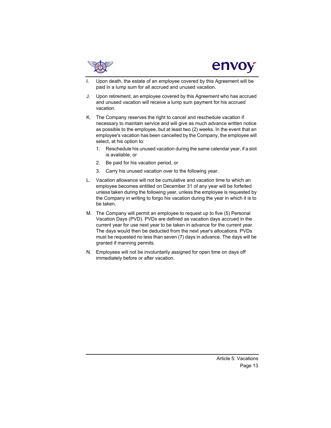

- I. Upon death, the estate of an employee covered by this Agreement will be paid in a lump sum for all accrued and unused vacation.
- J. Upon retirement, an employee covered by this Agreement who has accrued and unused vacation will receive a lump sum payment for his accrued vacation.
- K. The Company reserves the right to cancel and reschedule vacation if necessary to maintain service and will give as much advance written notice as possible to the employee, but at least two (2) weeks. In the event that an employee's vacation has been cancelled by the Company, the employee will select, at his option to:
	- 1. Reschedule his unused vacation during the same calendar year, if a slot is available, or
	- 2. Be paid for his vacation period, or
	- 3. Carry his unused vacation over to the following year.
- L. Vacation allowance will not be cumulative and vacation time to which an employee becomes entitled on December 31 of any year will be forfeited unless taken during the following year, unless the employee is requested by the Company in writing to forgo his vacation during the year in which it is to be taken.
- M. The Company will permit an employee to request up to five (5) Personal Vacation Days (PVD). PVDs are defined as vacation days accrued in the current year for use next year to be taken in advance for the current year. The days would then be deducted from the next year's allocations. PVDs must be requested no less than seven (7) days in advance. The days will be granted if manning permits.
- N. Employees will not be involuntarily assigned for open time on days off immediately before or after vacation.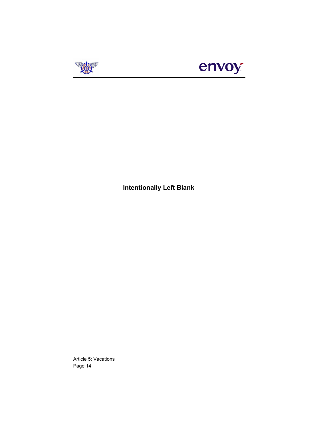

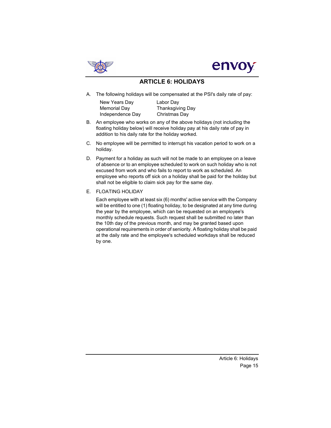



#### **ARTICLE 6: HOLIDAYS**

<span id="page-16-0"></span>A. The following holidays will be compensated at the PSI's daily rate of pay:

 New Years Day Labor Day Memorial Day Thanksgiving Day Independence Day Christmas Day

- B. An employee who works on any of the above holidays (not including the floating holiday below) will receive holiday pay at his daily rate of pay in addition to his daily rate for the holiday worked.
- C. No employee will be permitted to interrupt his vacation period to work on a holiday.
- D. Payment for a holiday as such will not be made to an employee on a leave of absence or to an employee scheduled to work on such holiday who is not excused from work and who fails to report to work as scheduled. An employee who reports off sick on a holiday shall be paid for the holiday but shall not be eligible to claim sick pay for the same day.
- E. FLOATING HOLIDAY

Each employee with at least six (6) months' active service with the Company will be entitled to one (1) floating holiday, to be designated at any time during the year by the employee, which can be requested on an employee's monthly schedule requests. Such request shall be submitted no later than the 10th day of the previous month, and may be granted based upon operational requirements in order of seniority. A floating holiday shall be paid at the daily rate and the employee's scheduled workdays shall be reduced by one.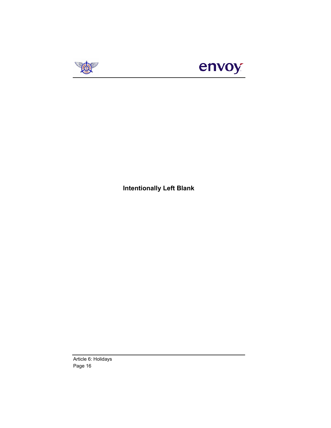

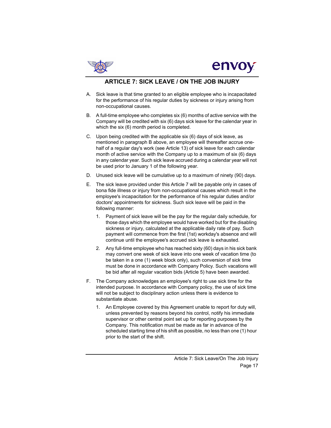

## **ARTICLE 7: SICK LEAVE / ON THE JOB INJURY**

- <span id="page-18-0"></span>A. Sick leave is that time granted to an eligible employee who is incapacitated for the performance of his regular duties by sickness or injury arising from non-occupational causes.
- B. A full-time employee who completes six (6) months of active service with the Company will be credited with six (6) days sick leave for the calendar year in which the six (6) month period is completed.
- C. Upon being credited with the applicable six (6) days of sick leave, as mentioned in paragraph B above, an employee will thereafter accrue onehalf of a regular day's work (see Article 13) of sick leave for each calendar month of active service with the Company up to a maximum of six (6) days in any calendar year. Such sick leave accrued during a calendar year will not be used prior to January 1 of the following year.
- D. Unused sick leave will be cumulative up to a maximum of ninety (90) days.
- E. The sick leave provided under this Article 7 will be payable only in cases of bona fide illness or injury from non-occupational causes which result in the employee's incapacitation for the performance of his regular duties and/or doctors' appointments for sickness. Such sick leave will be paid in the following manner:
	- 1. Payment of sick leave will be the pay for the regular daily schedule, for those days which the employee would have worked but for the disabling sickness or injury, calculated at the applicable daily rate of pay. Such payment will commence from the first (1st) workday's absence and will continue until the employee's accrued sick leave is exhausted.
	- 2. Any full-time employee who has reached sixty (60) days in his sick bank may convert one week of sick leave into one week of vacation time (to be taken in a one (1) week block only), such conversion of sick time must be done in accordance with Company Policy. Such vacations will be bid after all regular vacation bids (Article 5) have been awarded.
- F. The Company acknowledges an employee's right to use sick time for the intended purpose. In accordance with Company policy, the use of sick time will not be subject to disciplinary action unless there is evidence to substantiate abuse.
	- 1. An Employee covered by this Agreement unable to report for duty will, unless prevented by reasons beyond his control, notify his immediate supervisor or other central point set up for reporting purposes by the Company. This notification must be made as far in advance of the scheduled starting time of his shift as possible, no less than one (1) hour prior to the start of the shift.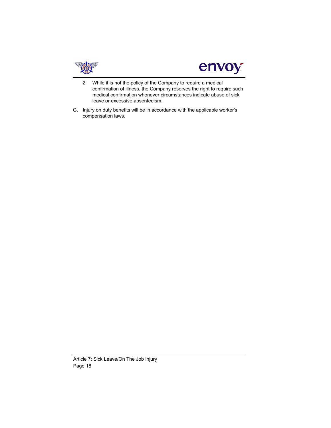



- 2. While it is not the policy of the Company to require a medical confirmation of illness, the Company reserves the right to require such medical confirmation whenever circumstances indicate abuse of sick leave or excessive absenteeism.
- G. Injury on duty benefits will be in accordance with the applicable worker's compensation laws.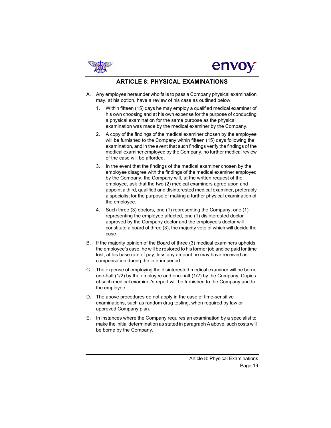

## **ARTICLE 8: PHYSICAL EXAMINATIONS**

- <span id="page-20-0"></span>A. Any employee hereunder who fails to pass a Company physical examination may, at his option, have a review of his case as outlined below.
	- 1. Within fifteen (15) days he may employ a qualified medical examiner of his own choosing and at his own expense for the purpose of conducting a physical examination for the same purpose as the physical examination was made by the medical examiner by the Company.
	- 2. A copy of the findings of the medical examiner chosen by the employee will be furnished to the Company within fifteen (15) days following the examination, and in the event that such findings verify the findings of the medical examiner employed by the Company, no further medical review of the case will be afforded.
	- 3. In the event that the findings of the medical examiner chosen by the employee disagree with the findings of the medical examiner employed by the Company, the Company will, at the written request of the employee, ask that the two (2) medical examiners agree upon and appoint a third, qualified and disinterested medical examiner, preferably a specialist for the purpose of making a further physical examination of the employee.
	- 4. Such three (3) doctors, one (1) representing the Company, one (1) representing the employee affected, one (1) disinterested doctor approved by the Company doctor and the employee's doctor will constitute a board of three (3), the majority vote of which will decide the case.
- B. If the majority opinion of the Board of three (3) medical examiners upholds the employee's case, he will be restored to his former job and be paid for time lost, at his base rate of pay, less any amount he may have received as compensation during the interim period.
- C. The expense of employing the disinterested medical examiner will be borne one-half (1/2) by the employee and one-half (1/2) by the Company. Copies of such medical examiner's report will be furnished to the Company and to the employee.
- D. The above procedures do not apply in the case of time-sensitive examinations, such as random drug testing, when required by law or approved Company plan.
- E. In instances where the Company requires an examination by a specialist to make the initial determination as stated in paragraph A above, such costs will be borne by the Company.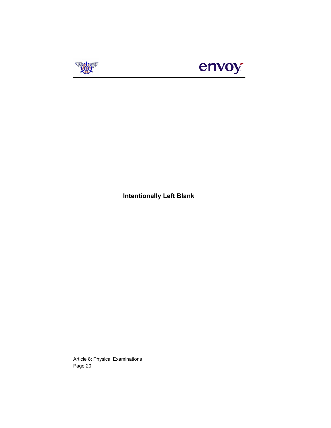

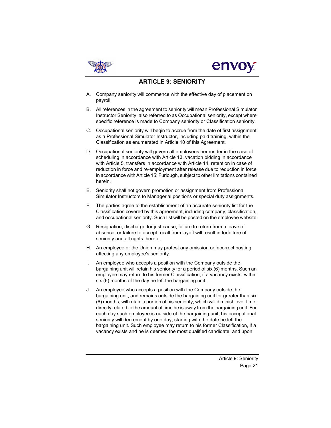

## **ARTICLE 9: SENIORITY**

- <span id="page-22-0"></span>A. Company seniority will commence with the effective day of placement on payroll.
- B. All references in the agreement to seniority will mean Professional Simulator Instructor Seniority, also referred to as Occupational seniority, except where specific reference is made to Company seniority or Classification seniority.
- C. Occupational seniority will begin to accrue from the date of first assignment as a Professional Simulator Instructor, including paid training, within the Classification as enumerated in Article 10 of this Agreement.
- D. Occupational seniority will govern all employees hereunder in the case of scheduling in accordance with Article 13, vacation bidding in accordance with Article 5, transfers in accordance with Article 14, retention in case of reduction in force and re-employment after release due to reduction in force in accordance with Article 15: Furlough, subject to other limitations contained herein.
- E. Seniority shall not govern promotion or assignment from Professional Simulator Instructors to Managerial positions or special duty assignments.
- F. The parties agree to the establishment of an accurate seniority list for the Classification covered by this agreement, including company, classification, and occupational seniority. Such list will be posted on the employee website.
- G. Resignation, discharge for just cause, failure to return from a leave of absence, or failure to accept recall from layoff will result in forfeiture of seniority and all rights thereto.
- H. An employee or the Union may protest any omission or incorrect posting affecting any employee's seniority.
- I. An employee who accepts a position with the Company outside the bargaining unit will retain his seniority for a period of six (6) months. Such an employee may return to his former Classification, if a vacancy exists, within six (6) months of the day he left the bargaining unit.
- J. An employee who accepts a position with the Company outside the bargaining unit, and remains outside the bargaining unit for greater than six (6) months, will retain a portion of his seniority, which will diminish over time, directly related to the amount of time he is away from the bargaining unit. For each day such employee is outside of the bargaining unit, his occupational seniority will decrement by one day, starting with the date he left the bargaining unit. Such employee may return to his former Classification, if a vacancy exists and he is deemed the most qualified candidate, and upon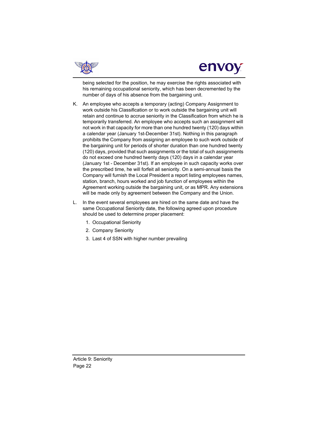

being selected for the position, he may exercise the rights associated with his remaining occupational seniority, which has been decremented by the number of days of his absence from the bargaining unit.

- K. An employee who accepts a temporary (acting) Company Assignment to work outside his Classification or to work outside the bargaining unit will retain and continue to accrue seniority in the Classification from which he is temporarily transferred. An employee who accepts such an assignment will not work in that capacity for more than one hundred twenty (120) days within a calendar year (January 1st-December 31st). Nothing in this paragraph prohibits the Company from assigning an employee to such work outside of the bargaining unit for periods of shorter duration than one hundred twenty (120) days, provided that such assignments or the total of such assignments do not exceed one hundred twenty days (120) days in a calendar year (January 1st - December 31st). If an employee in such capacity works over the prescribed time, he will forfeit all seniority. On a semi-annual basis the Company will furnish the Local President a report listing employees names, station, branch, hours worked and job function of employees within the Agreement working outside the bargaining unit, or as MPR. Any extensions will be made only by agreement between the Company and the Union.
- L. In the event several employees are hired on the same date and have the same Occupational Seniority date, the following agreed upon procedure should be used to determine proper placement:
	- 1. Occupational Seniority
	- 2. Company Seniority
	- 3. Last 4 of SSN with higher number prevailing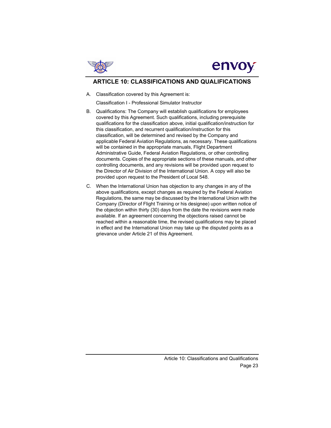



#### <span id="page-24-0"></span>**ARTICLE 10: CLASSIFICATIONS AND QUALIFICATIONS**

A. Classification covered by this Agreement is:

Classification I - Professional Simulator Instructor

- B. Qualifications: The Company will establish qualifications for employees covered by this Agreement. Such qualifications, including prerequisite qualifications for the classification above, initial qualification/instruction for this classification, and recurrent qualification/instruction for this classification, will be determined and revised by the Company and applicable Federal Aviation Regulations, as necessary. These qualifications will be contained in the appropriate manuals, Flight Department Administrative Guide, Federal Aviation Regulations, or other controlling documents. Copies of the appropriate sections of these manuals, and other controlling documents, and any revisions will be provided upon request to the Director of Air Division of the International Union. A copy will also be provided upon request to the President of Local 548.
- C. When the International Union has objection to any changes in any of the above qualifications, except changes as required by the Federal Aviation Regulations, the same may be discussed by the International Union with the Company (Director of Flight Training or his designee) upon written notice of the objection within thirty (30) days from the date the revisions were made available. If an agreement concerning the objections raised cannot be reached within a reasonable time, the revised qualifications may be placed in effect and the International Union may take up the disputed points as a grievance under Article 21 of this Agreement.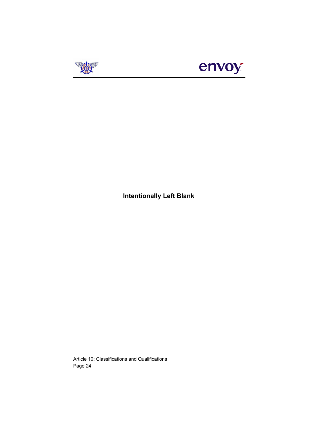

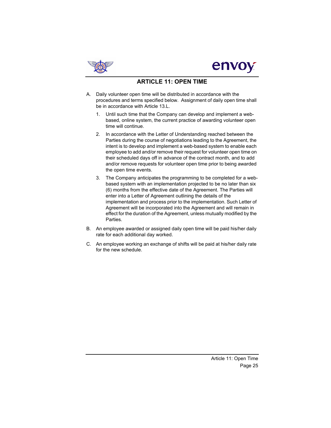



### **ARTICLE 11: OPEN TIME**

- <span id="page-26-0"></span>A. Daily volunteer open time will be distributed in accordance with the procedures and terms specified below. Assignment of daily open time shall be in accordance with Article 13.L.
	- 1. Until such time that the Company can develop and implement a webbased, online system, the current practice of awarding volunteer open time will continue.
	- 2. In accordance with the Letter of Understanding reached between the Parties during the course of negotiations leading to the Agreement, the intent is to develop and implement a web-based system to enable each employee to add and/or remove their request for volunteer open time on their scheduled days off in advance of the contract month, and to add and/or remove requests for volunteer open time prior to being awarded the open time events.
	- 3. The Company anticipates the programming to be completed for a webbased system with an implementation projected to be no later than six (6) months from the effective date of the Agreement. The Parties will enter into a Letter of Agreement outlining the details of the implementation and process prior to the implementation. Such Letter of Agreement will be incorporated into the Agreement and will remain in effect for the duration of the Agreement, unless mutually modified by the Parties.
- B. An employee awarded or assigned daily open time will be paid his/her daily rate for each additional day worked.
- C. An employee working an exchange of shifts will be paid at his/her daily rate for the new schedule.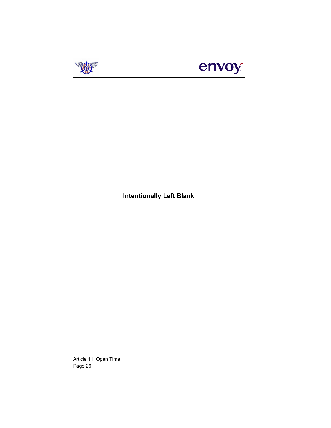

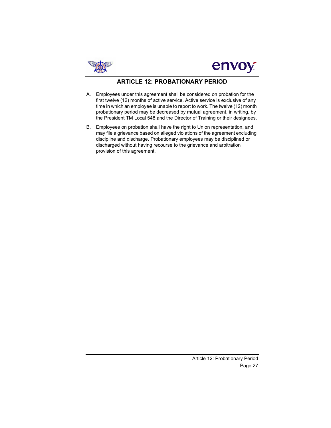



#### **ARTICLE 12: PROBATIONARY PERIOD**

- <span id="page-28-0"></span>A. Employees under this agreement shall be considered on probation for the first twelve (12) months of active service. Active service is exclusive of any time in which an employee is unable to report to work. The twelve (12) month probationary period may be decreased by mutual agreement, in writing, by the President TM Local 548 and the Director of Training or their designees.
- B. Employees on probation shall have the right to Union representation, and may file a grievance based on alleged violations of the agreement excluding discipline and discharge. Probationary employees may be disciplined or discharged without having recourse to the grievance and arbitration provision of this agreement.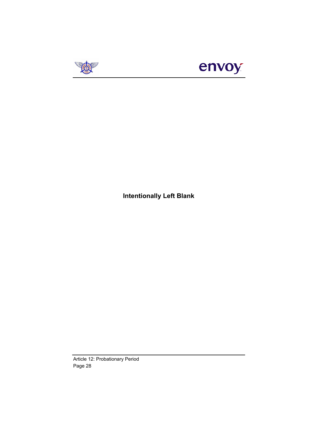

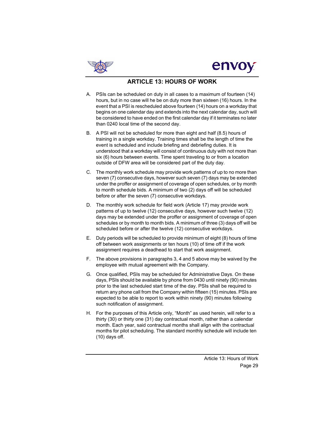

## **ARTICLE 13: HOURS OF WORK**

- <span id="page-30-0"></span>A. PSIs can be scheduled on duty in all cases to a maximum of fourteen (14) hours, but in no case will he be on duty more than sixteen (16) hours. In the event that a PSI is rescheduled above fourteen (14) hours on a workday that begins on one calendar day and extends into the next calendar day, such will be considered to have ended on the first calendar day if it terminates no later than 0240 local time of the second day.
- B. A PSI will not be scheduled for more than eight and half (8.5) hours of training in a single workday. Training times shall be the length of time the event is scheduled and include briefing and debriefing duties. It is understood that a workday will consist of continuous duty with not more than six (6) hours between events. Time spent traveling to or from a location outside of DFW area will be considered part of the duty day.
- C. The monthly work schedule may provide work patterns of up to no more than seven (7) consecutive days, however such seven (7) days may be extended under the proffer or assignment of coverage of open schedules, or by month to month schedule bids. A minimum of two (2) days off will be scheduled before or after the seven (7) consecutive workdays.
- D. The monthly work schedule for field work (Article 17) may provide work patterns of up to twelve (12) consecutive days, however such twelve (12) days may be extended under the proffer or assignment of coverage of open schedules or by month to month bids. A minimum of three (3) days off will be scheduled before or after the twelve (12) consecutive workdays.
- E. Duty periods will be scheduled to provide minimum of eight (8) hours of time off between work assignments or ten hours (10) of time off if the work assignment requires a deadhead to start that work assignment.
- F. The above provisions in paragraphs 3, 4 and 5 above may be waived by the employee with mutual agreement with the Company.
- G. Once qualified, PSIs may be scheduled for Administrative Days. On these days, PSIs should be available by phone from 0430 until ninety (90) minutes prior to the last scheduled start time of the day. PSIs shall be required to return any phone call from the Company within fifteen (15) minutes. PSIs are expected to be able to report to work within ninety (90) minutes following such notification of assignment.
- H. For the purposes of this Article only, "Month" as used herein, will refer to a thirty (30) or thirty one (31) day contractual month, rather than a calendar month. Each year, said contractual months shall align with the contractual months for pilot scheduling. The standard monthly schedule will include ten (10) days off.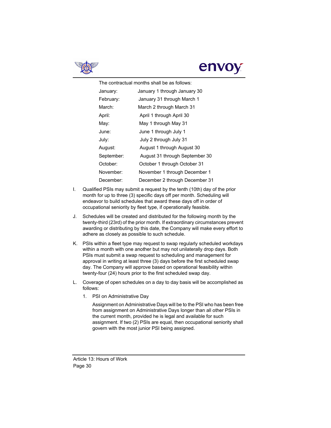



The contractual months shall be as follows:

| January:   | January 1 through January 30   |
|------------|--------------------------------|
| February:  | January 31 through March 1     |
| March:     | March 2 through March 31       |
| April:     | April 1 through April 30       |
| May:       | May 1 through May 31           |
| June:      | June 1 through July 1          |
| July:      | July 2 through July 31         |
| August:    | August 1 through August 30     |
| September: | August 31 through September 30 |
| October:   | October 1 through October 31   |
| November:  | November 1 through December 1  |
| December:  | December 2 through December 31 |

- I. Qualified PSIs may submit a request by the tenth (10th) day of the prior month for up to three (3) specific days off per month. Scheduling will endeavor to build schedules that award these days off in order of occupational seniority by fleet type, if operationally feasible.
- J. Schedules will be created and distributed for the following month by the twenty-third (23rd) of the prior month. If extraordinary circumstances prevent awarding or distributing by this date, the Company will make every effort to adhere as closely as possible to such schedule.
- K. PSIs within a fleet type may request to swap regularly scheduled workdays within a month with one another but may not unilaterally drop days. Both PSIs must submit a swap request to scheduling and management for approval in writing at least three (3) days before the first scheduled swap day. The Company will approve based on operational feasibility within twenty-four (24) hours prior to the first scheduled swap day.
- L. Coverage of open schedules on a day to day basis will be accomplished as follows:
	- 1. PSI on Administrative Day

Assignment on Administrative Days will be to the PSI who has been free from assignment on Administrative Days longer than all other PSIs in the current month, provided he is legal and available for such assignment. If two (2) PSIs are equal, then occupational seniority shall govern with the most junior PSI being assigned.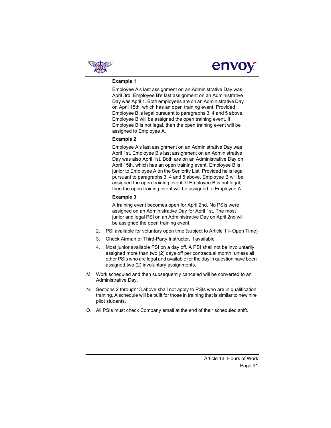



#### **Example 1**

Employee A's last assignment on an Administrative Day was April 3rd. Employee B's last assignment on an Administrative Day was April 1. Both employees are on an Administrative Day on April 15th, which has an open training event. Provided Employee B is legal pursuant to paragraphs 3, 4 and 5 above, Employee B will be assigned the open training event. If Employee B is not legal, then the open training event will be assigned to Employee A.

#### **Example 2**

Employee A's last assignment on an Administrative Day was April 1st. Employee B's last assignment on an Administrative Day was also April 1st. Both are on an Administrative Day on April 15th, which has an open training event. Employee B is junior to Employee A on the Seniority List. Provided he is legal pursuant to paragraphs 3, 4 and 5 above, Employee B will be assigned the open training event. If Employee B is not legal, then the open training event will be assigned to Employee A.

#### **Example 3**

A training event becomes open for April 2nd. No PSIs were assigned on an Administrative Day for April 1st. The most junior and legal PSI on an Administrative Day on April 2nd will be assigned the open training event.

- 2. PSI available for voluntary open time (subject to Article 11- Open Time)
- 3. Check Airman or Third-Party Instructor, if available
- 4. Most junior available PSI on a day off. A PSI shall not be involuntarily assigned more than two (2) days off per contractual month, unless all other PSIs who are legal and available for the day in question have been assigned two (2) involuntary assignments.
- M. Work scheduled and then subsequently canceled will be converted to an Administrative Day.
- N. Sections 2 through13 above shall not apply to PSIs who are in qualification training. A schedule will be built for those in training that is similar to new hire pilot students.
- O. All PSIs must check Company email at the end of their scheduled shift.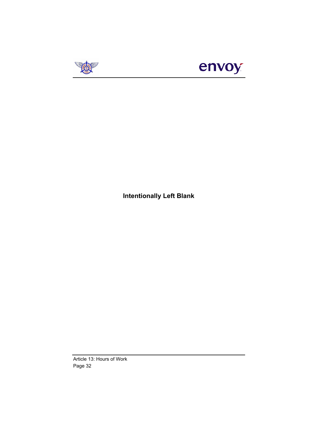

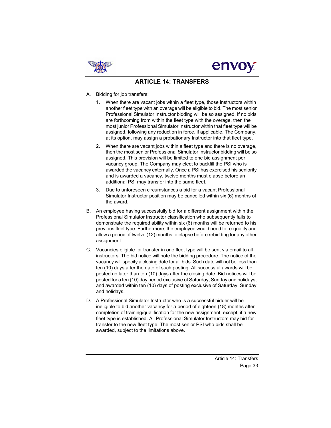



#### **ARTICLE 14: TRANSFERS**

- <span id="page-34-0"></span>A. Bidding for job transfers:
	- 1. When there are vacant jobs within a fleet type, those instructors within another fleet type with an overage will be eligible to bid. The most senior Professional Simulator Instructor bidding will be so assigned. If no bids are forthcoming from within the fleet type with the overage, then the most junior Professional Simulator Instructor within that fleet type will be assigned, following any reduction in force, if applicable. The Company, at its option, may assign a probationary Instructor into that fleet type.
	- 2. When there are vacant jobs within a fleet type and there is no overage, then the most senior Professional Simulator Instructor bidding will be so assigned. This provision will be limited to one bid assignment per vacancy group. The Company may elect to backfill the PSI who is awarded the vacancy externally. Once a PSI has exercised his seniority and is awarded a vacancy, twelve months must elapse before an additional PSI may transfer into the same fleet.
	- 3. Due to unforeseen circumstances a bid for a vacant Professional Simulator Instructor position may be cancelled within six (6) months of the award.
- B. An employee having successfully bid for a different assignment within the Professional Simulator Instructor classification who subsequently fails to demonstrate the required ability within six (6) months will be returned to his previous fleet type. Furthermore, the employee would need to re-qualify and allow a period of twelve (12) months to elapse before rebidding for any other assignment.
- C. Vacancies eligible for transfer in one fleet type will be sent via email to all instructors. The bid notice will note the bidding procedure. The notice of the vacancy will specify a closing date for all bids. Such date will not be less than ten (10) days after the date of such posting. All successful awards will be posted no later than ten (10) days after the closing date. Bid notices will be posted for a ten (10) day period exclusive of Saturday, Sunday and holidays, and awarded within ten (10) days of posting exclusive of Saturday, Sunday and holidays.
- D. A Professional Simulator Instructor who is a successful bidder will be ineligible to bid another vacancy for a period of eighteen (18) months after completion of training/qualification for the new assignment, except, if a new fleet type is established. All Professional Simulator Instructors may bid for transfer to the new fleet type. The most senior PSI who bids shall be awarded, subject to the limitations above.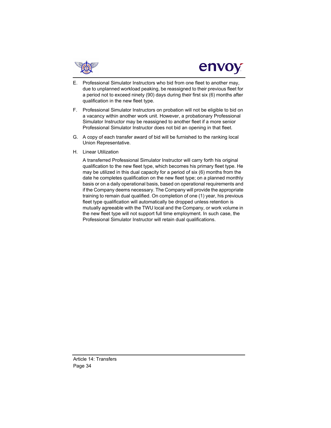



- E. Professional Simulator Instructors who bid from one fleet to another may, due to unplanned workload peaking, be reassigned to their previous fleet for a period not to exceed ninety (90) days during their first six (6) months after qualification in the new fleet type.
- F. Professional Simulator Instructors on probation will not be eligible to bid on a vacancy within another work unit. However, a probationary Professional Simulator Instructor may be reassigned to another fleet if a more senior Professional Simulator Instructor does not bid an opening in that fleet.
- G. A copy of each transfer award of bid will be furnished to the ranking local Union Representative.
- H. Linear Utilization

A transferred Professional Simulator Instructor will carry forth his original qualification to the new fleet type, which becomes his primary fleet type. He may be utilized in this dual capacity for a period of six (6) months from the date he completes qualification on the new fleet type; on a planned monthly basis or on a daily operational basis, based on operational requirements and if the Company deems necessary. The Company will provide the appropriate training to remain dual qualified. On completion of one (1) year, his previous fleet type qualification will automatically be dropped unless retention is mutually agreeable with the TWU local and the Company, or work volume in the new fleet type will not support full time employment. In such case, the Professional Simulator Instructor will retain dual qualifications.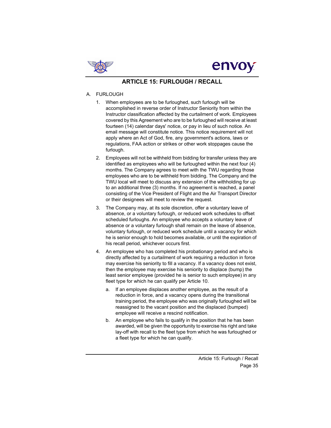



## **ARTICLE 15: FURLOUGH / RECALL**

#### A. FURLOUGH

- 1. When employees are to be furloughed, such furlough will be accomplished in reverse order of Instructor Seniority from within the Instructor classification affected by the curtailment of work. Employees covered by this Agreement who are to be furloughed will receive at least fourteen (14) calendar days' notice, or pay in lieu of such notice. An email message will constitute notice. This notice requirement will not apply where an Act of God, fire, any government's actions, laws or regulations, FAA action or strikes or other work stoppages cause the furlough.
- 2. Employees will not be withheld from bidding for transfer unless they are identified as employees who will be furloughed within the next four (4) months. The Company agrees to meet with the TWU regarding those employees who are to be withheld from bidding. The Company and the TWU local will meet to discuss any extension of the withholding for up to an additional three (3) months. If no agreement is reached, a panel consisting of the Vice President of Flight and the Air Transport Director or their designees will meet to review the request.
- 3. The Company may, at its sole discretion, offer a voluntary leave of absence, or a voluntary furlough, or reduced work schedules to offset scheduled furloughs. An employee who accepts a voluntary leave of absence or a voluntary furlough shall remain on the leave of absence, voluntary furlough, or reduced work schedule until a vacancy for which he is senior enough to hold becomes available, or until the expiration of his recall period, whichever occurs first.
- 4. An employee who has completed his probationary period and who is directly affected by a curtailment of work requiring a reduction in force may exercise his seniority to fill a vacancy. If a vacancy does not exist, then the employee may exercise his seniority to displace (bump) the least senior employee (provided he is senior to such employee) in any fleet type for which he can qualify per Article 10.
	- a. If an employee displaces another employee, as the result of a reduction in force, and a vacancy opens during the transitional training period, the employee who was originally furloughed will be reassigned to the vacant position and the displaced (bumped) employee will receive a rescind notification.
	- b. An employee who fails to qualify in the position that he has been awarded, will be given the opportunity to exercise his right and take lay-off with recall to the fleet type from which he was furloughed or a fleet type for which he can qualify.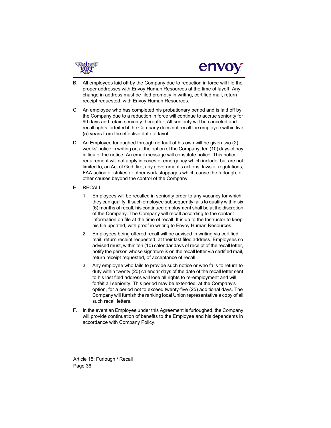

- B. All employees laid off by the Company due to reduction in force will file the proper addresses with Envoy Human Resources at the time of layoff. Any change in address must be filed promptly in writing, certified mail, return receipt requested, with Envoy Human Resources.
- C. An employee who has completed his probationary period and is laid off by the Company due to a reduction in force will continue to accrue seniority for 90 days and retain seniority thereafter. All seniority will be canceled and recall rights forfeited if the Company does not recall the employee within five (5) years from the effective date of layoff.
- D. An Employee furloughed through no fault of his own will be given two (2) weeks' notice in writing or, at the option of the Company, ten (10) days of pay in lieu of the notice. An email message will constitute notice. This notice requirement will not apply in cases of emergency which include, but are not limited to, an Act of God, fire, any government's actions, laws or regulations, FAA action or strikes or other work stoppages which cause the furlough, or other causes beyond the control of the Company.
- E. RECALL
	- 1. Employees will be recalled in seniority order to any vacancy for which they can qualify. If such employee subsequently fails to qualify within six (6) months of recall, his continued employment shall be at the discretion of the Company. The Company will recall according to the contact information on file at the time of recall. It is up to the Instructor to keep his file updated, with proof in writing to Envoy Human Resources.
	- 2. Employees being offered recall will be advised in writing via certified mail, return receipt requested, at their last filed address. Employees so advised must, within ten (10) calendar days of receipt of the recall letter, notify the person whose signature is on the recall letter via certified mail, return receipt requested, of acceptance of recall.
	- 3. Any employee who fails to provide such notice or who fails to return to duty within twenty (20) calendar days of the date of the recall letter sent to his last filed address will lose all rights to re-employment and will forfeit all seniority. This period may be extended, at the Company's option, for a period not to exceed twenty-five (25) additional days. The Company will furnish the ranking local Union representative a copy of all such recall letters.
- F. In the event an Employee under this Agreement is furloughed, the Company will provide continuation of benefits to the Employee and his dependents in accordance with Company Policy.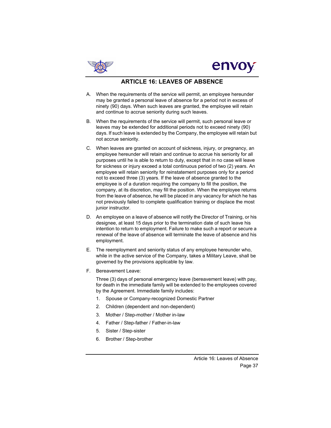

## **ARTICLE 16: LEAVES OF ABSENCE**

- A. When the requirements of the service will permit, an employee hereunder may be granted a personal leave of absence for a period not in excess of ninety (90) days. When such leaves are granted, the employee will retain and continue to accrue seniority during such leaves.
- B. When the requirements of the service will permit, such personal leave or leaves may be extended for additional periods not to exceed ninety (90) days. If such leave is extended by the Company, the employee will retain but not accrue seniority.
- C. When leaves are granted on account of sickness, injury, or pregnancy, an employee hereunder will retain and continue to accrue his seniority for all purposes until he is able to return to duty, except that in no case will leave for sickness or injury exceed a total continuous period of two (2) years. An employee will retain seniority for reinstatement purposes only for a period not to exceed three (3) years. If the leave of absence granted to the employee is of a duration requiring the company to fill the position, the company, at its discretion, may fill the position. When the employee returns from the leave of absence, he will be placed in any vacancy for which he has not previously failed to complete qualification training or displace the most junior instructor.
- D. An employee on a leave of absence will notify the Director of Training, or his designee, at least 15 days prior to the termination date of such leave his intention to return to employment. Failure to make such a report or secure a renewal of the leave of absence will terminate the leave of absence and his employment.
- E. The reemployment and seniority status of any employee hereunder who, while in the active service of the Company, takes a Military Leave, shall be governed by the provisions applicable by law.
- F. Bereavement Leave:

Three (3) days of personal emergency leave (bereavement leave) with pay, for death in the immediate family will be extended to the employees covered by the Agreement. Immediate family includes:

- 1. Spouse or Company-recognized Domestic Partner
- 2. Children (dependent and non-dependent)
- 3. Mother / Step-mother / Mother in-law
- 4. Father / Step-father / Father-in-law
- 5. Sister / Step-sister
- 6. Brother / Step-brother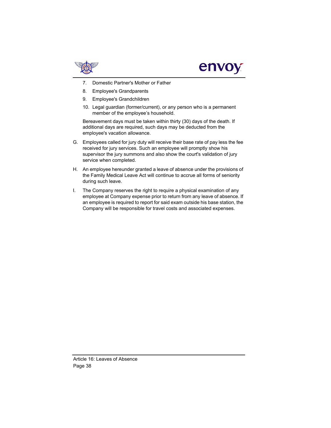

- 7. Domestic Partner's Mother or Father
- 8. Employee's Grandparents
- 9. Employee's Grandchildren
- 10. Legal guardian (former/current), or any person who is a permanent member of the employee's household.

Bereavement days must be taken within thirty (30) days of the death. If additional days are required, such days may be deducted from the employee's vacation allowance.

- G. Employees called for jury duty will receive their base rate of pay less the fee received for jury services. Such an employee will promptly show his supervisor the jury summons and also show the court's validation of jury service when completed.
- H. An employee hereunder granted a leave of absence under the provisions of the Family Medical Leave Act will continue to accrue all forms of seniority during such leave.
- I. The Company reserves the right to require a physical examination of any employee at Company expense prior to return from any leave of absence. If an employee is required to report for said exam outside his base station, the Company will be responsible for travel costs and associated expenses.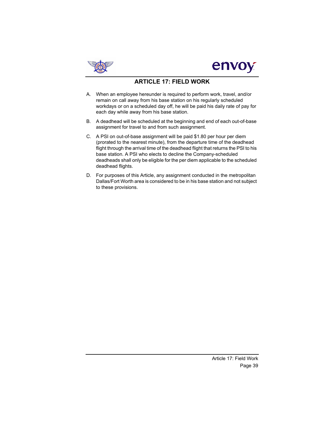



## **ARTICLE 17: FIELD WORK**

- A. When an employee hereunder is required to perform work, travel, and/or remain on call away from his base station on his regularly scheduled workdays or on a scheduled day off, he will be paid his daily rate of pay for each day while away from his base station.
- B. A deadhead will be scheduled at the beginning and end of each out-of-base assignment for travel to and from such assignment.
- C. A PSI on out-of-base assignment will be paid \$1.80 per hour per diem (prorated to the nearest minute), from the departure time of the deadhead flight through the arrival time of the deadhead flight that returns the PSI to his base station. A PSI who elects to decline the Company-scheduled deadheads shall only be eligible for the per diem applicable to the scheduled deadhead flights.
- D. For purposes of this Article, any assignment conducted in the metropolitan Dallas/Fort Worth area is considered to be in his base station and not subject to these provisions.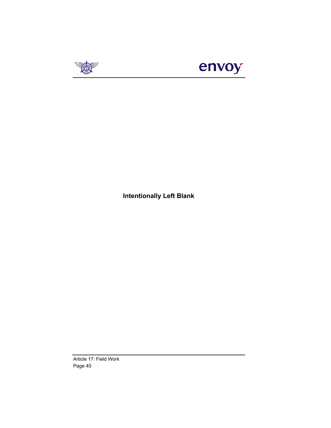

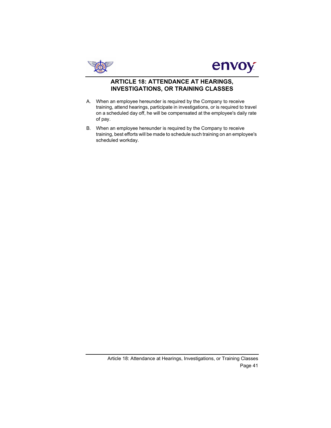



#### **ARTICLE 18: ATTENDANCE AT HEARINGS, INVESTIGATIONS, OR TRAINING CLASSES**

- A. When an employee hereunder is required by the Company to receive training, attend hearings, participate in investigations, or is required to travel on a scheduled day off, he will be compensated at the employee's daily rate of pay.
- B. When an employee hereunder is required by the Company to receive training, best efforts will be made to schedule such training on an employee's scheduled workday.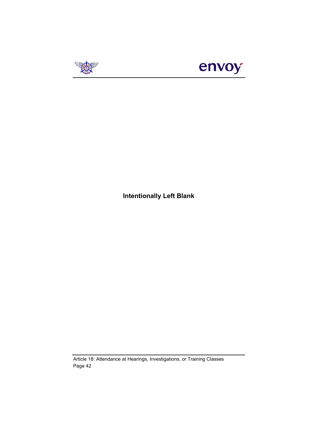

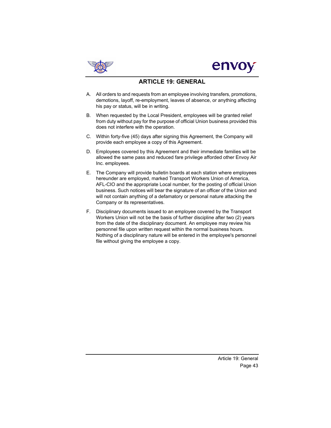

## **ARTICLE 19: GENERAL**

- A. All orders to and requests from an employee involving transfers, promotions, demotions, layoff, re-employment, leaves of absence, or anything affecting his pay or status, will be in writing.
- B. When requested by the Local President, employees will be granted relief from duty without pay for the purpose of official Union business provided this does not interfere with the operation.
- C. Within forty-five (45) days after signing this Agreement, the Company will provide each employee a copy of this Agreement.
- D. Employees covered by this Agreement and their immediate families will be allowed the same pass and reduced fare privilege afforded other Envoy Air Inc. employees.
- E. The Company will provide bulletin boards at each station where employees hereunder are employed, marked Transport Workers Union of America, AFL-CIO and the appropriate Local number, for the posting of official Union business. Such notices will bear the signature of an officer of the Union and will not contain anything of a defamatory or personal nature attacking the Company or its representatives.
- F. Disciplinary documents issued to an employee covered by the Transport Workers Union will not be the basis of further discipline after two (2) years from the date of the disciplinary document. An employee may review his personnel file upon written request within the normal business hours. Nothing of a disciplinary nature will be entered in the employee's personnel file without giving the employee a copy.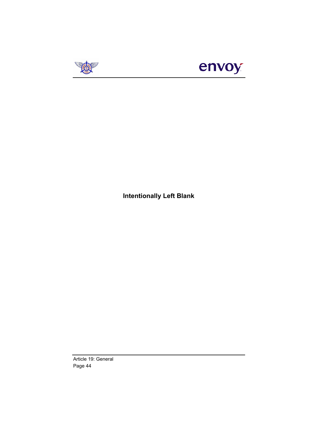

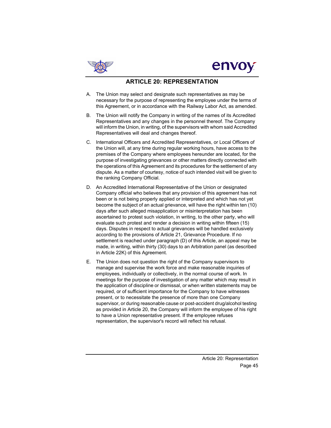

#### **ARTICLE 20: REPRESENTATION**

- A. The Union may select and designate such representatives as may be necessary for the purpose of representing the employee under the terms of this Agreement, or in accordance with the Railway Labor Act, as amended.
- B. The Union will notify the Company in writing of the names of its Accredited Representatives and any changes in the personnel thereof. The Company will inform the Union, in writing, of the supervisors with whom said Accredited Representatives will deal and changes thereof.
- C. International Officers and Accredited Representatives, or Local Officers of the Union will, at any time during regular working hours, have access to the premises of the Company where employees hereunder are located, for the purpose of investigating grievances or other matters directly connected with the operations of this Agreement and its procedures for the settlement of any dispute. As a matter of courtesy, notice of such intended visit will be given to the ranking Company Official.
- D. An Accredited International Representative of the Union or designated Company official who believes that any provision of this agreement has not been or is not being properly applied or interpreted and which has not yet become the subject of an actual grievance, will have the right within ten (10) days after such alleged misapplication or misinterpretation has been ascertained to protest such violation, in writing, to the other party, who will evaluate such protest and render a decision in writing within fifteen (15) days. Disputes in respect to actual grievances will be handled exclusively according to the provisions of Article 21, Grievance Procedure. If no settlement is reached under paragraph (D) of this Article, an appeal may be made, in writing, within thirty (30) days to an Arbitration panel (as described in Article 22K) of this Agreement.
- E. The Union does not question the right of the Company supervisors to manage and supervise the work force and make reasonable inquiries of employees, individually or collectively, in the normal course of work. In meetings for the purpose of investigation of any matter which may result in the application of discipline or dismissal, or when written statements may be required, or of sufficient importance for the Company to have witnesses present, or to necessitate the presence of more than one Company supervisor, or during reasonable cause or post-accident drug/alcohol testing as provided in Article 20, the Company will inform the employee of his right to have a Union representative present. If the employee refuses representation, the supervisor's record will reflect his refusal.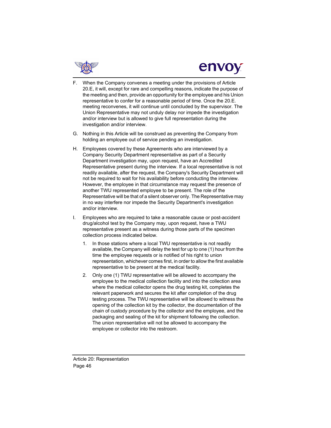

- F. When the Company convenes a meeting under the provisions of Article 20.E, it will, except for rare and compelling reasons, indicate the purpose of the meeting and then, provide an opportunity for the employee and his Union representative to confer for a reasonable period of time. Once the 20.E. meeting reconvenes, it will continue until concluded by the supervisor. The Union Representative may not unduly delay nor impede the investigation and/or interview but is allowed to give full representation during the investigation and/or interview.
- G. Nothing in this Article will be construed as preventing the Company from holding an employee out of service pending an investigation.
- H. Employees covered by these Agreements who are interviewed by a Company Security Department representative as part of a Security Department investigation may, upon request, have an Accredited Representative present during the interview. If a local representative is not readily available, after the request, the Company's Security Department will not be required to wait for his availability before conducting the interview. However, the employee in that circumstance may request the presence of another TWU represented employee to be present. The role of the Representative will be that of a silent observer only. The Representative may in no way interfere nor impede the Security Department's investigation and/or interview.
- I. Employees who are required to take a reasonable cause or post-accident drug/alcohol test by the Company may, upon request, have a TWU representative present as a witness during those parts of the specimen collection process indicated below.
	- 1. In those stations where a local TWU representative is not readily available, the Company will delay the test for up to one (1) hour from the time the employee requests or is notified of his right to union representation, whichever comes first, in order to allow the first available representative to be present at the medical facility.
	- 2. Only one (1) TWU representative will be allowed to accompany the employee to the medical collection facility and into the collection area where the medical collector opens the drug testing kit, completes the relevant paperwork and secures the kit after completion of the drug testing process. The TWU representative will be allowed to witness the opening of the collection kit by the collector, the documentation of the chain of custody procedure by the collector and the employee, and the packaging and sealing of the kit for shipment following the collection. The union representative will not be allowed to accompany the employee or collector into the restroom.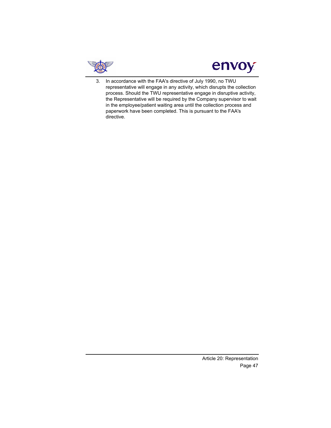



3. In accordance with the FAA's directive of July 1990, no TWU representative will engage in any activity, which disrupts the collection process. Should the TWU representative engage in disruptive activity, the Representative will be required by the Company supervisor to wait in the employee/patient waiting area until the collection process and paperwork have been completed. This is pursuant to the FAA's directive.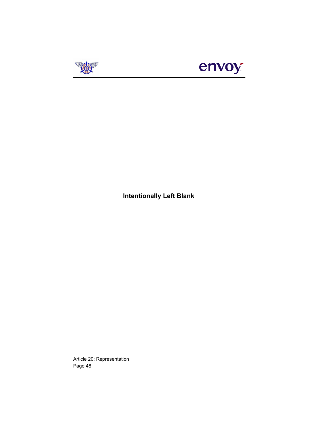

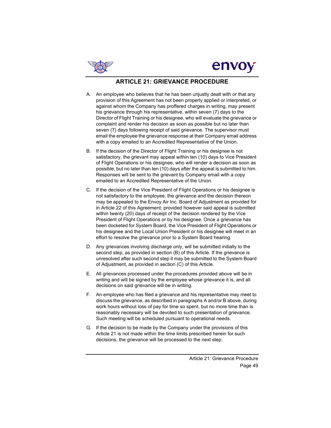



## **ARTICLE 21: GRIEVANCE PROCEDURE**

- A. An employee who believes that he has been unjustly dealt with or that any provision of this Agreement has not been properly applied or interpreted, or against whom the Company has proffered charges in writing, may present his grievance through his representative, within seven (7) days to the Director of Flight Training or his designee, who will evaluate the grievance or complaint and render his decision as soon as possible but no later than seven (7) days following receipt of said grievance. The supervisor must email the employee the grievance response at their Company email address with a copy emailed to an Accredited Representative of the Union.
- B. If the decision of the Director of Flight Training or his designee is not satisfactory, the grievant may appeal within ten (10) days to Vice President of Flight Operations or his designee, who will render a decision as soon as possible, but no later than ten (10) days after the appeal is submitted to him. Responses will be sent to the grievant by Company email with a copy emailed to an Accredited Representative of the Union.
- C. If the decision of the Vice President of Flight Operations or his designee is not satisfactory to the employee, the grievance and the decision thereon may be appealed to the Envoy Air Inc. Board of Adjustment as provided for in Article 22 of this Agreement; provided however said appeal is submitted within twenty (20) days of receipt of the decision rendered by the Vice President of Flight Operations or by his designee. Once a grievance has been docketed for System Board, the Vice President of Flight Operations or his designee and the Local Union President or his designee will meet in an effort to resolve the grievance prior to a System Board hearing.
- D. Any grievances involving discharge only, will be submitted initially to the second step, as provided in section (B) of this Article. If the grievance is unresolved after such second step it may be submitted to the System Board of Adjustment, as provided in section (C) of this Article.
- E. All grievances processed under the procedures provided above will be in writing and will be signed by the employee whose grievance it is, and all decisions on said grievance will be in writing.
- F. An employee who has filed a grievance and his representative may meet to discuss the grievance, as described in paragraphs A and/or B above, during work hours without loss of pay for time so spent, but no more time than is reasonably necessary will be devoted to such presentation of grievance. Such meeting will be scheduled pursuant to operational needs.
- G. If the decision to be made by the Company under the provisions of this Article 21 is not made within the time limits prescribed herein for such decisions, the grievance will be processed to the next step.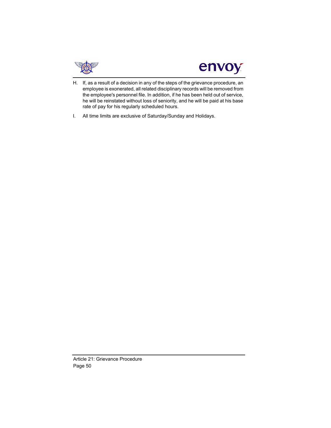



- H. If, as a result of a decision in any of the steps of the grievance procedure, an employee is exonerated, all related disciplinary records will be removed from the employee's personnel file. In addition, if he has been held out of service, he will be reinstated without loss of seniority, and he will be paid at his base rate of pay for his regularly scheduled hours.
- I. All time limits are exclusive of Saturday/Sunday and Holidays.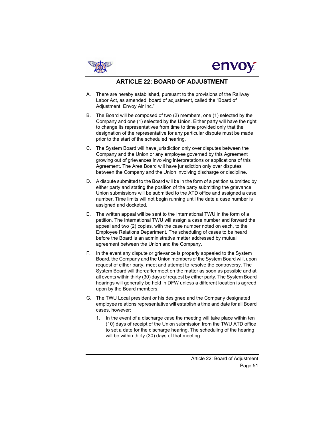



# **ARTICLE 22: BOARD OF ADJUSTMENT**

- A. There are hereby established, pursuant to the provisions of the Railway Labor Act, as amended, board of adjustment, called the "Board of Adjustment, Envoy Air Inc."
- B. The Board will be composed of two (2) members, one (1) selected by the Company and one (1) selected by the Union. Either party will have the right to change its representatives from time to time provided only that the designation of the representative for any particular dispute must be made prior to the start of the scheduled hearing.
- C. The System Board will have jurisdiction only over disputes between the Company and the Union or any employee governed by this Agreement growing out of grievances involving interpretations or applications of this Agreement. The Area Board will have jurisdiction only over disputes between the Company and the Union involving discharge or discipline.
- D. A dispute submitted to the Board will be in the form of a petition submitted by either party and stating the position of the party submitting the grievance. Union submissions will be submitted to the ATD office and assigned a case number. Time limits will not begin running until the date a case number is assigned and docketed.
- E. The written appeal will be sent to the International TWU in the form of a petition. The International TWU will assign a case number and forward the appeal and two (2) copies, with the case number noted on each, to the Employee Relations Department. The scheduling of cases to be heard before the Board is an administrative matter addressed by mutual agreement between the Union and the Company.
- F. In the event any dispute or grievance is properly appealed to the System Board, the Company and the Union members of the System Board will, upon request of either party, meet and attempt to resolve the controversy. The System Board will thereafter meet on the matter as soon as possible and at all events within thirty (30) days of request by either party. The System Board hearings will generally be held in DFW unless a different location is agreed upon by the Board members.
- G. The TWU Local president or his designee and the Company designated employee relations representative will establish a time and date for all Board cases, however:
	- 1. In the event of a discharge case the meeting will take place within ten (10) days of receipt of the Union submission from the TWU ATD office to set a date for the discharge hearing. The scheduling of the hearing will be within thirty (30) days of that meeting.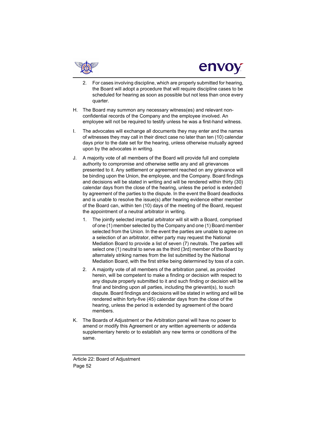

- 2. For cases involving discipline, which are properly submitted for hearing, the Board will adopt a procedure that will require discipline cases to be scheduled for hearing as soon as possible but not less than once every quarter.
- H. The Board may summon any necessary witness(es) and relevant nonconfidential records of the Company and the employee involved. An employee will not be required to testify unless he was a first-hand witness.
- I. The advocates will exchange all documents they may enter and the names of witnesses they may call in their direct case no later than ten (10) calendar days prior to the date set for the hearing, unless otherwise mutually agreed upon by the advocates in writing.
- J. A majority vote of all members of the Board will provide full and complete authority to compromise and otherwise settle any and all grievances presented to it. Any settlement or agreement reached on any grievance will be binding upon the Union, the employee, and the Company. Board findings and decisions will be stated in writing and will be rendered within thirty (30) calendar days from the close of the hearing, unless the period is extended by agreement of the parties to the dispute. In the event the Board deadlocks and is unable to resolve the issue(s) after hearing evidence either member of the Board can, within ten (10) days of the meeting of the Board, request the appointment of a neutral arbitrator in writing.
	- 1. The jointly selected impartial arbitrator will sit with a Board, comprised of one (1) member selected by the Company and one (1) Board member selected from the Union. In the event the parties are unable to agree on a selection of an arbitrator, either party may request the National Mediation Board to provide a list of seven (7) neutrals. The parties will select one (1) neutral to serve as the third (3rd) member of the Board by alternately striking names from the list submitted by the National Mediation Board, with the first strike being determined by toss of a coin.
	- 2. A majority vote of all members of the arbitration panel, as provided herein, will be competent to make a finding or decision with respect to any dispute properly submitted to it and such finding or decision will be final and binding upon all parties, including the grievant(s), to such dispute. Board findings and decisions will be stated in writing and will be rendered within forty-five (45) calendar days from the close of the hearing, unless the period is extended by agreement of the board members.
- K. The Boards of Adjustment or the Arbitration panel will have no power to amend or modify this Agreement or any written agreements or addenda supplementary hereto or to establish any new terms or conditions of the same.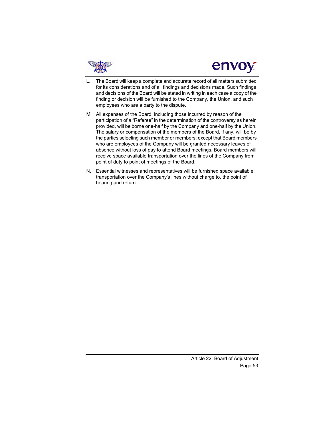



- L. The Board will keep a complete and accurate record of all matters submitted for its considerations and of all findings and decisions made. Such findings and decisions of the Board will be stated in writing in each case a copy of the finding or decision will be furnished to the Company, the Union, and such employees who are a party to the dispute.
- M. All expenses of the Board, including those incurred by reason of the participation of a "Referee" in the determination of the controversy as herein provided, will be borne one-half by the Company and one-half by the Union. The salary or compensation of the members of the Board, if any, will be by the parties selecting such member or members; except that Board members who are employees of the Company will be granted necessary leaves of absence without loss of pay to attend Board meetings. Board members will receive space available transportation over the lines of the Company from point of duty to point of meetings of the Board.
- N. Essential witnesses and representatives will be furnished space available transportation over the Company's lines without charge to, the point of hearing and return.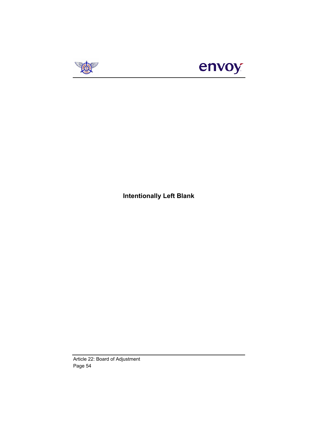

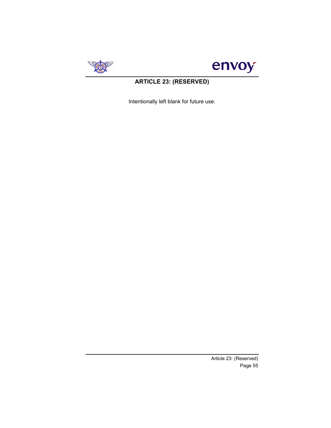



# **ARTICLE 23: (RESERVED)**

Intentionally left blank for future use.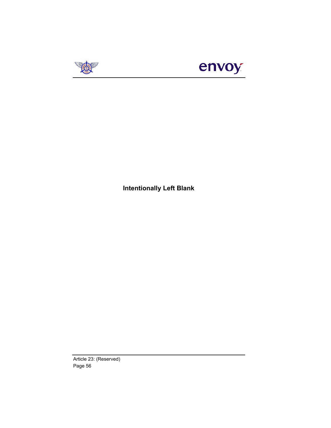

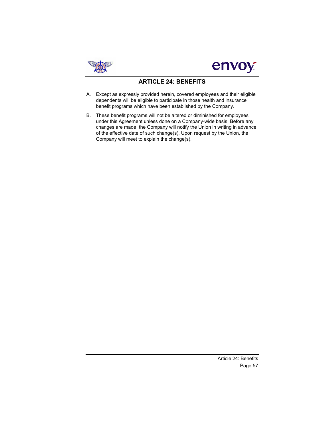



#### **ARTICLE 24: BENEFITS**

- A. Except as expressly provided herein, covered employees and their eligible dependents will be eligible to participate in those health and insurance benefit programs which have been established by the Company.
- B. These benefit programs will not be altered or diminished for employees under this Agreement unless done on a Company-wide basis. Before any changes are made, the Company will notify the Union in writing in advance of the effective date of such change(s). Upon request by the Union, the Company will meet to explain the change(s).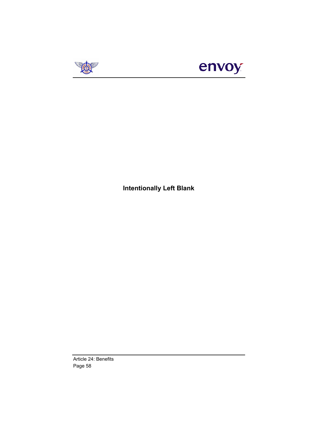

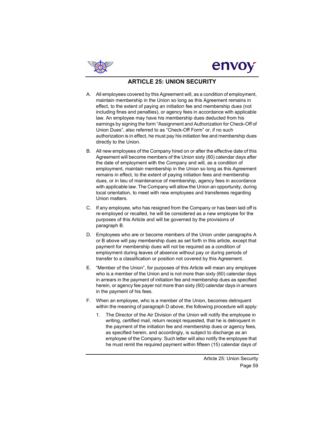

# **ARTICLE 25: UNION SECURITY**

- A. All employees covered by this Agreement will, as a condition of employment, maintain membership in the Union so long as this Agreement remains in effect, to the extent of paying an initiation fee and membership dues (not including fines and penalties), or agency fees in accordance with applicable law. An employee may have his membership dues deducted from his earnings by signing the form "Assignment and Authorization for Check-Off of Union Dues", also referred to as "Check-Off Form" or, if no such authorization is in effect, he must pay his initiation fee and membership dues directly to the Union.
- B. All new employees of the Company hired on or after the effective date of this Agreement will become members of the Union sixty (60) calendar days after the date of employment with the Company and will, as a condition of employment, maintain membership in the Union so long as this Agreement remains in effect, to the extent of paying initiation fees and membership dues, or in lieu of maintenance of membership, agency fees in accordance with applicable law. The Company will allow the Union an opportunity, during local orientation, to meet with new employees and transferees regarding Union matters.
- C. If any employee, who has resigned from the Company or has been laid off is re-employed or recalled, he will be considered as a new employee for the purposes of this Article and will be governed by the provisions of paragraph B.
- D. Employees who are or become members of the Union under paragraphs A or B above will pay membership dues as set forth in this article, except that payment for membership dues will not be required as a condition of employment during leaves of absence without pay or during periods of transfer to a classification or position not covered by this Agreement.
- E. "Member of the Union", for purposes of this Article will mean any employee who is a member of the Union and is not more than sixty (60) calendar days in arrears in the payment of initiation fee and membership dues as specified herein, or agency fee payer not more than sixty (60) calendar days in arrears in the payment of his fees.
- F. When an employee, who is a member of the Union, becomes delinquent within the meaning of paragraph D above, the following procedure will apply:
	- 1. The Director of the Air Division of the Union will notify the employee in writing, certified mail, return receipt requested, that he is delinquent in the payment of the initiation fee and membership dues or agency fees, as specified herein, and accordingly, is subject to discharge as an employee of the Company. Such letter will also notify the employee that he must remit the required payment within fifteen (15) calendar days of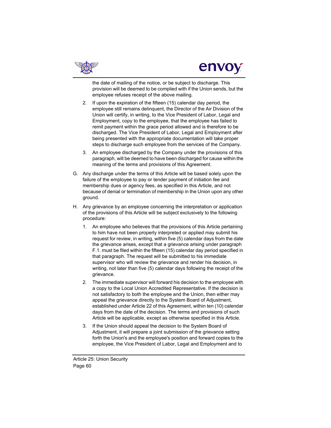

the date of mailing of the notice, or be subject to discharge. This provision will be deemed to be complied with if the Union sends, but the employee refuses receipt of the above mailing.

- 2. If upon the expiration of the fifteen (15) calendar day period, the employee still remains delinquent, the Director of the Air Division of the Union will certify, in writing, to the Vice President of Labor, Legal and Employment, copy to the employee, that the employee has failed to remit payment within the grace period allowed and is therefore to be discharged. The Vice President of Labor, Legal and Employment after being presented with the appropriate documentation will take proper steps to discharge such employee from the services of the Company.
- 3. An employee discharged by the Company under the provisions of this paragraph, will be deemed to have been discharged for cause within the meaning of the terms and provisions of this Agreement.
- G. Any discharge under the terms of this Article will be based solely upon the failure of the employee to pay or tender payment of initiation fee and membership dues or agency fees, as specified in this Article, and not because of denial or termination of membership in the Union upon any other ground.
- H. Any grievance by an employee concerning the interpretation or application of the provisions of this Article will be subject exclusively to the following procedure:
	- 1. An employee who believes that the provisions of this Article pertaining to him have not been properly interpreted or applied may submit his request for review, in writing, within five (5) calendar days from the date the grievance arises, except that a grievance arising under paragraph F.1. must be filed within the fifteen (15) calendar day period specified in that paragraph. The request will be submitted to his immediate supervisor who will review the grievance and render his decision, in writing, not later than five (5) calendar days following the receipt of the grievance.
	- 2. The immediate supervisor will forward his decision to the employee with a copy to the Local Union Accredited Representative. If the decision is not satisfactory to both the employee and the Union, then either may appeal the grievance directly to the System Board of Adjustment, established under Article 22 of this Agreement, within ten (10) calendar days from the date of the decision. The terms and provisions of such Article will be applicable, except as otherwise specified in this Article.
	- 3. If the Union should appeal the decision to the System Board of Adjustment, it will prepare a joint submission of the grievance setting forth the Union's and the employee's position and forward copies to the employee, the Vice President of Labor, Legal and Employment and to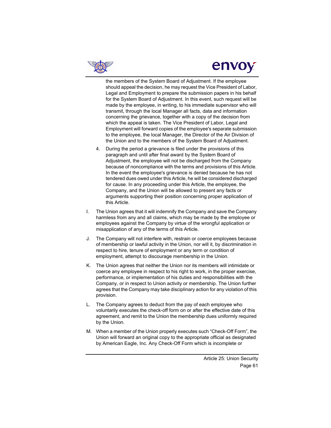



the members of the System Board of Adjustment. If the employee should appeal the decision, he may request the Vice President of Labor, Legal and Employment to prepare the submission papers in his behalf for the System Board of Adjustment. In this event, such request will be made by the employee, in writing, to his immediate supervisor who will transmit, through the local Manager all facts, data and information concerning the grievance, together with a copy of the decision from which the appeal is taken. The Vice President of Labor, Legal and Employment will forward copies of the employee's separate submission to the employee, the local Manager, the Director of the Air Division of the Union and to the members of the System Board of Adjustment.

- 4. During the period a grievance is filed under the provisions of this paragraph and until after final award by the System Board of Adjustment, the employee will not be discharged from the Company because of noncompliance with the terms and provisions of this Article. In the event the employee's grievance is denied because he has not tendered dues owed under this Article, he will be considered discharged for cause. In any proceeding under this Article, the employee, the Company, and the Union will be allowed to present any facts or arguments supporting their position concerning proper application of this Article.
- I. The Union agrees that it will indemnify the Company and save the Company harmless from any and all claims, which may be made by the employee or employees against the Company by virtue of the wrongful application or misapplication of any of the terms of this Article.
- J. The Company will not interfere with, restrain or coerce employees because of membership or lawful activity in the Union, nor will it, by discrimination in respect to hire, tenure of employment or any term or condition of employment, attempt to discourage membership in the Union.
- K. The Union agrees that neither the Union nor its members will intimidate or coerce any employee in respect to his right to work, in the proper exercise, performance, or implementation of his duties and responsibilities with the Company, or in respect to Union activity or membership. The Union further agrees that the Company may take disciplinary action for any violation of this provision.
- L. The Company agrees to deduct from the pay of each employee who voluntarily executes the check-off form on or after the effective date of this agreement, and remit to the Union the membership dues uniformly required by the Union.
- M. When a member of the Union properly executes such "Check-Off Form", the Union will forward an original copy to the appropriate official as designated by American Eagle, Inc. Any Check-Off Form which is incomplete or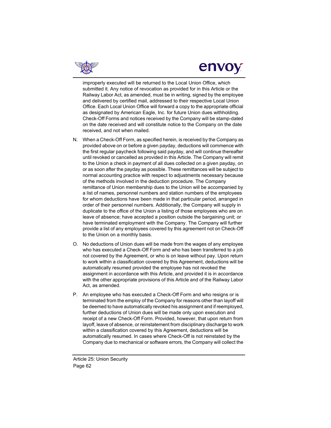

improperly executed will be returned to the Local Union Office, which submitted it. Any notice of revocation as provided for in this Article or the Railway Labor Act, as amended, must be in writing, signed by the employee and delivered by certified mail, addressed to their respective Local Union Office. Each Local Union Office will forward a copy to the appropriate official as designated by American Eagle, Inc. for future Union dues withholding. Check-Off Forms and notices received by the Company will be stamp-dated on the date received and will constitute notice to the Company on the date received, and not when mailed.

- N. When a Check-Off Form, as specified herein, is received by the Company as provided above on or before a given payday, deductions will commence with the first regular paycheck following said payday, and will continue thereafter until revoked or cancelled as provided in this Article. The Company will remit to the Union a check in payment of all dues collected on a given payday, on or as soon after the payday as possible. These remittances will be subject to normal accounting practice with respect to adjustments necessary because of the methods involved in the deduction procedure. The Company remittance of Union membership dues to the Union will be accompanied by a list of names, personnel numbers and station numbers of the employees for whom deductions have been made in that particular period, arranged in order of their personnel numbers. Additionally, the Company will supply in duplicate to the office of the Union a listing of those employees who are on leave of absence; have accepted a position outside the bargaining unit; or have terminated employment with the Company. The Company will further provide a list of any employees covered by this agreement not on Check-Off to the Union on a monthly basis.
- O. No deductions of Union dues will be made from the wages of any employee who has executed a Check-Off Form and who has been transferred to a job not covered by the Agreement, or who is on leave without pay. Upon return to work within a classification covered by this Agreement, deductions will be automatically resumed provided the employee has not revoked the assignment in accordance with this Article, and provided it is in accordance with the other appropriate provisions of this Article and of the Railway Labor Act, as amended.
- P. An employee who has executed a Check-Off Form and who resigns or is terminated from the employ of the Company for reasons other than layoff will be deemed to have automatically revoked his assignment and if reemployed, further deductions of Union dues will be made only upon execution and receipt of a new Check-Off Form. Provided, however, that upon return from layoff, leave of absence, or reinstatement from disciplinary discharge to work within a classification covered by this Agreement, deductions will be automatically resumed. In cases where Check-Off is not reinstated by the Company due to mechanical or software errors, the Company will collect the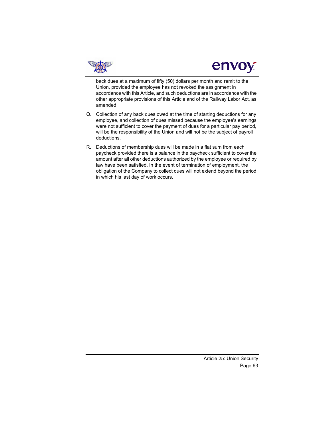



back dues at a maximum of fifty (50) dollars per month and remit to the Union, provided the employee has not revoked the assignment in accordance with this Article, and such deductions are in accordance with the other appropriate provisions of this Article and of the Railway Labor Act, as amended.

- Q. Collection of any back dues owed at the time of starting deductions for any employee, and collection of dues missed because the employee's earnings were not sufficient to cover the payment of dues for a particular pay period, will be the responsibility of the Union and will not be the subject of payroll deductions.
- R. Deductions of membership dues will be made in a flat sum from each paycheck provided there is a balance in the paycheck sufficient to cover the amount after all other deductions authorized by the employee or required by law have been satisfied. In the event of termination of employment, the obligation of the Company to collect dues will not extend beyond the period in which his last day of work occurs.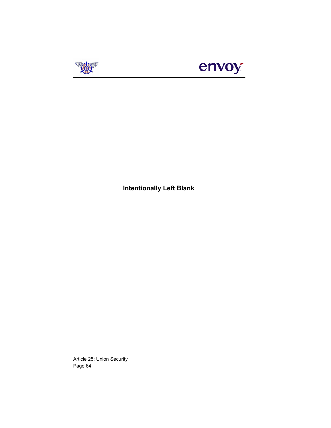

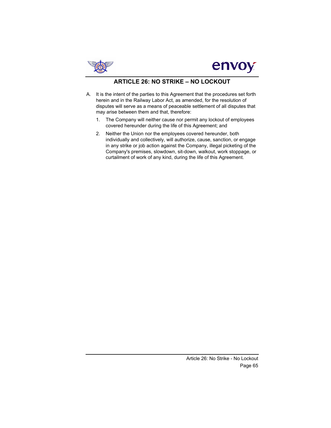



# **ARTICLE 26: NO STRIKE – NO LOCKOUT**

- A. It is the intent of the parties to this Agreement that the procedures set forth herein and in the Railway Labor Act, as amended, for the resolution of disputes will serve as a means of peaceable settlement of all disputes that may arise between them and that, therefore:
	- 1. The Company will neither cause nor permit any lockout of employees covered hereunder during the life of this Agreement; and
	- 2. Neither the Union nor the employees covered hereunder, both individually and collectively, will authorize, cause, sanction, or engage in any strike or job action against the Company, illegal picketing of the Company's premises, slowdown, sit-down, walkout, work stoppage, or curtailment of work of any kind, during the life of this Agreement.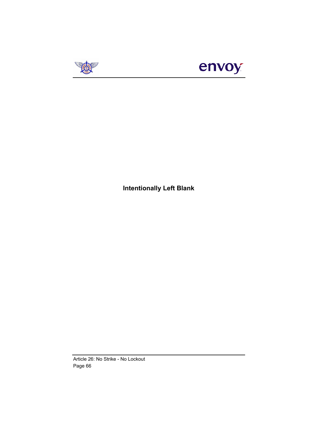

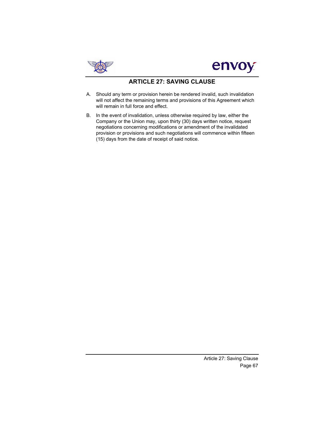



#### **ARTICLE 27: SAVING CLAUSE**

- A. Should any term or provision herein be rendered invalid, such invalidation will not affect the remaining terms and provisions of this Agreement which will remain in full force and effect.
- B. In the event of invalidation, unless otherwise required by law, either the Company or the Union may, upon thirty (30) days written notice, request negotiations concerning modifications or amendment of the invalidated provision or provisions and such negotiations will commence within fifteen (15) days from the date of receipt of said notice.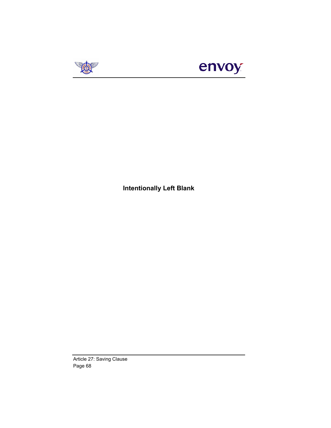

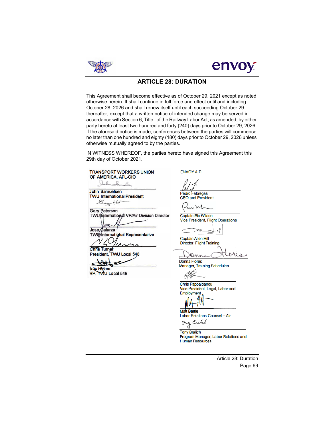



#### **ARTICLE 28: DURATION**

This Agreement shall become effective as of October 29, 2021 except as noted otherwise herein. It shall continue in full force and effect until and including October 28, 2026 and shall renew itself until each succeeding October 29 thereafter, except that a written notice of intended change may be served in accordance with Section 6, Title I of the Railway Labor Act, as amended, by either party hereto at least two hundred and forty (240) days prior to October 29, 2026. If the aforesaid notice is made, conferences between the parties will commence no later than one hundred and eighty (180) days prior to October 29, 2026 unless otherwise mutually agreed to by the parties.

IN WITNESS WHEREOF, the parties hereto have signed this Agreement this 29th day of October 2021.

**TRANSPORT WORKERS UNION** OF AMERICA, AFL-CIO Jamela. **John Samuelsen TWU International President** Day Pt **Gary Peterson** TWU International VP/Air Division Director Jose Galarza TWU/International Representative Chris Turner President, TWU Local 548 **Eric Helms** VP, TWU Local 548

**ENVOY AIR** 

Pedro Fabregas

**CEO** and President

**Captain Ric Wilson Vice President, Flight Operations** 

**Captain Allen Hill** Director, Flight Training

res

**Donna Flores Manager, Training Schedules** 

**Chris Pappaioanou** Vice President, Legal, Labor and Employment

Matt Bartle Labor Relations Counsel - Air

Brakch

**Tony Bralich** Program Manager, Labor Relations and **Human Resources**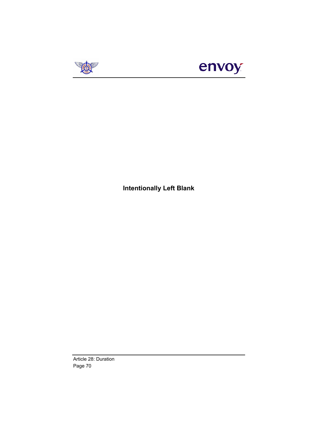

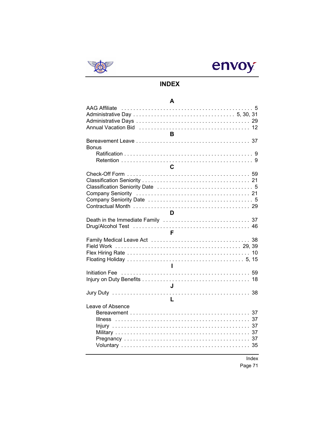



## **INDEX**

## **A**

|                  | $\overline{B}$ |  |  |  |  |  |  |
|------------------|----------------|--|--|--|--|--|--|
|                  |                |  |  |  |  |  |  |
| Bonus            |                |  |  |  |  |  |  |
|                  |                |  |  |  |  |  |  |
|                  |                |  |  |  |  |  |  |
|                  | $\mathbf{C}$   |  |  |  |  |  |  |
|                  |                |  |  |  |  |  |  |
|                  |                |  |  |  |  |  |  |
|                  |                |  |  |  |  |  |  |
|                  |                |  |  |  |  |  |  |
|                  |                |  |  |  |  |  |  |
|                  |                |  |  |  |  |  |  |
|                  | ם –            |  |  |  |  |  |  |
|                  |                |  |  |  |  |  |  |
|                  |                |  |  |  |  |  |  |
| $\blacksquare$   |                |  |  |  |  |  |  |
|                  |                |  |  |  |  |  |  |
|                  |                |  |  |  |  |  |  |
|                  |                |  |  |  |  |  |  |
|                  |                |  |  |  |  |  |  |
|                  |                |  |  |  |  |  |  |
|                  |                |  |  |  |  |  |  |
|                  |                |  |  |  |  |  |  |
|                  |                |  |  |  |  |  |  |
|                  |                |  |  |  |  |  |  |
|                  | $\mathsf{U}$   |  |  |  |  |  |  |
|                  |                |  |  |  |  |  |  |
|                  | L              |  |  |  |  |  |  |
| Leave of Absence |                |  |  |  |  |  |  |
|                  |                |  |  |  |  |  |  |
|                  |                |  |  |  |  |  |  |
|                  |                |  |  |  |  |  |  |
|                  |                |  |  |  |  |  |  |
|                  |                |  |  |  |  |  |  |
|                  |                |  |  |  |  |  |  |